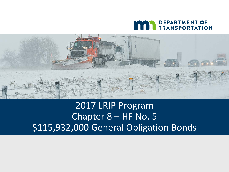



#### 2017 LRIP Program Chapter 8 – HF No. 5 \$115,932,000 General Obligation Bonds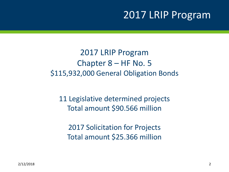### 2017 LRIP Program

2017 LRIP Program Chapter 8 – HF No. 5 \$115,932,000 General Obligation Bonds

11 Legislative determined projects Total amount \$90.566 million

2017 Solicitation for Projects Total amount \$25.366 million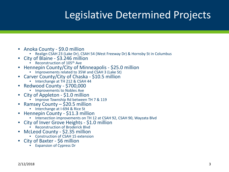## Legislative Determined Projects

- 
- Anoka County \$9.0 million<br>• Realign CSAH 23 (Lake Dr), CSAH 54 (West Freeway Dr) & Hornsby St in Columbus
- City of Blaine \$3.246 million<br>• Reconstruction of 105<sup>th</sup> Ave
	-
- Hennepin County/City of Minneapolis \$25.0 million Improvements related to 35W and CSAH 3 (Lake St)
	-
- Carver County/City of Chaska \$10.5 million Interchange at TH 212 & CSAH 44
	-
- Redwood County \$700,000 Improvements to Nobles Ave
	-
- City of Appleton \$1.0 million Improve Township Rd between TH 7 & 119
	-
- Ramsey County \$20.5 million<br>• Interchange at I-694 & Rice St<br>Hennepin County \$11.3 million
	-
- - Intersection improvements on TH 12 at CSAH 92, CSAH 90, Wayzata Blvd
- City of Inver Grove Heights \$1.0 million Reconstruction of Broderick Blvd
	-
- McLeod County \$2.35 million Construction of CSAH 15 extension
	-
- City of Baxter \$6 million Expansion of Cypress Dr
	-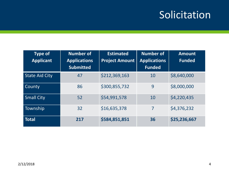## Solicitation

| <b>Type of</b><br><b>Applicant</b> | <b>Number of</b><br><b>Applications</b><br><b>Submitted</b> | <b>Estimated</b><br><b>Project Amount</b> | <b>Number of</b><br><b>Applications</b><br><b>Funded</b> | <b>Amount</b><br><b>Funded</b> |
|------------------------------------|-------------------------------------------------------------|-------------------------------------------|----------------------------------------------------------|--------------------------------|
| <b>State Aid City</b>              | 47                                                          | \$212,369,163                             | 10                                                       | \$8,640,000                    |
| County                             | 86                                                          | \$300,855,732                             | 9                                                        | \$8,000,000                    |
| <b>Small City</b>                  | 52                                                          | \$54,991,578                              | 10                                                       | \$4,220,435                    |
| Township                           | 32                                                          | \$16,635,378                              | 7                                                        | \$4,376,232                    |
| <b>Total</b>                       | 217                                                         | \$584,851,851                             | 36                                                       | \$25,236,667                   |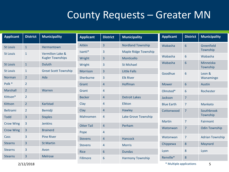### County Requests – Greater MN

| <b>Applicant</b> | <b>District</b> | <b>Municipality</b>         | <b>Applicant</b>  | <b>District</b> | <b>Municipality</b>         | <b>Applicant</b>        | <b>District</b> | <b>Municipality</b>    |
|------------------|-----------------|-----------------------------|-------------------|-----------------|-----------------------------|-------------------------|-----------------|------------------------|
| <b>St Louis</b>  | $1\,$           | Hermantown                  | <b>Aitkin</b>     | $\overline{3}$  | <b>Nordland Township</b>    | Wabasha                 | $6\overline{6}$ | Greenfield             |
| <b>St Louis</b>  | $\mathbf{1}$    | <b>Vermilion Lake &amp;</b> | Isanti*           | 3               | <b>Maple Ridge Township</b> |                         |                 | Township               |
|                  |                 | <b>Kugler Townships</b>     | Wright            | $\overline{3}$  | Monticello                  | Wabasha                 | 6               | Wabasha                |
| <b>St Louis</b>  | $\mathbf{1}$    | <b>Duluth</b>               | Wright            | $\overline{3}$  | <b>St Michael</b>           | Wabasha                 | $6\phantom{1}6$ | Minneiska<br>Township  |
| <b>St Louis</b>  | $\mathbf{1}$    | <b>Great Scott Township</b> | <b>Morrison</b>   | $\overline{3}$  | <b>Little Falls</b>         | Goodhue                 | $6\phantom{1}6$ | Leon &                 |
| <b>Norman</b>    | $\overline{2}$  | Ada                         | Sherburne         | $\overline{3}$  | <b>Elk River</b>            |                         |                 | Wanamingo              |
| Polk *           | $\overline{2}$  |                             | Grant             | $\overline{4}$  | Hoffman                     | <b>Mower</b>            | $6\phantom{1}6$ | Austin                 |
| Marshall         | $\overline{2}$  | Warren                      | Grant             | $\overline{4}$  |                             | Olmsted*                | $6\phantom{1}6$ | Rochester              |
| Kittson*         | $\overline{2}$  |                             | <b>Becker</b>     | $\overline{4}$  | <b>Detroit Lakes</b>        | Jackson                 | $\overline{7}$  |                        |
| Kittson          | $\overline{2}$  | <b>Karlstad</b>             | Clay              | $\overline{4}$  | Elkton                      | <b>Blue Earth</b>       | $\overline{7}$  | Mankato                |
| <b>Beltrami</b>  | $\overline{2}$  | <b>Bemidji</b>              | Clay              | $\overline{4}$  | Hawley                      | Cottonwood              | $\overline{7}$  | Southbrook             |
| <b>Todd</b>      | $\overline{3}$  | <b>Staples</b>              | Mahnomen          | $\overline{4}$  | Lake Grove Township         |                         |                 | Township               |
| <b>Crow Wing</b> | $\overline{3}$  | <b>Jenkins</b>              |                   |                 |                             | <b>Martin</b>           | $\overline{7}$  | Fairmont               |
| Crow Wing        | $\overline{3}$  | <b>Brainerd</b>             | <b>Otter Tail</b> | $\overline{4}$  | Perham                      | Watonwan                | $\overline{7}$  | <b>Odin Township</b>   |
| Cass             | $\overline{3}$  | <b>Pine River</b>           | Pope              | $\overline{4}$  |                             | Watonwan                | $\overline{7}$  | <b>Adrian Township</b> |
|                  |                 |                             | <b>Stevens</b>    | $\overline{4}$  | <b>Hancock</b>              |                         |                 |                        |
| <b>Stearns</b>   | $\overline{3}$  | <b>St Martin</b>            | <b>Stevens</b>    | $\overline{4}$  | <b>Morris</b>               | Chippewa                | 8               | Maynard                |
| <b>Stearns</b>   | 3               | Avon                        | <b>Rice</b>       | $6\phantom{1}6$ | <b>Dundas</b>               | Lyon                    | 8               | Lyon                   |
| <b>Stearns</b>   | $\overline{3}$  | <b>Melrose</b>              | <b>Fillmore</b>   | $6\phantom{1}6$ | <b>Harmony Township</b>     | Renville*               | 8               |                        |
|                  | 2/12/2018       |                             |                   |                 |                             | * Multiple applications |                 | 5                      |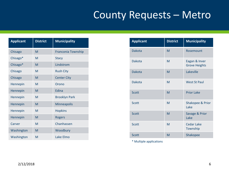## County Requests – Metro

| <b>Applicant</b> | <b>District</b> | <b>Municipality</b>  |
|------------------|-----------------|----------------------|
| Chisago          | M               | Franconia Township   |
| Chisago*         | M               | <b>Stacy</b>         |
| Chisago*         | M               | Lindstrom            |
| Chisago          | M               | <b>Rush City</b>     |
| Chisago          | M               | <b>Center City</b>   |
| Hennepin         | M               | Orono                |
| Hennepin         | M               | Edina                |
| Hennepin         | M               | <b>Brooklyn Park</b> |
| Hennepin         | M               | <b>Minneapolis</b>   |
| Hennepin         | M               | <b>Hopkins</b>       |
| Hennepin         | M               | <b>Rogers</b>        |
| Carver           | M               | Chanhassen           |
| Washington       | M               | Woodbury             |
| Washington       | M               | Lake Flmo            |

| <b>Applicant</b> | <b>District</b> | <b>Municipality</b>                   |
|------------------|-----------------|---------------------------------------|
| <b>Dakota</b>    | M               | Rosemount                             |
| <b>Dakota</b>    | M               | Eagan & Inver<br><b>Grove Heights</b> |
| <b>Dakota</b>    | M               | Lakeville                             |
| <b>Dakota</b>    | M               | <b>West St Paul</b>                   |
| <b>Scott</b>     | M               | <b>Prior Lake</b>                     |
| Scott            | M               | <b>Shakopee &amp; Prior</b><br>Lake   |
| <b>Scott</b>     | M               | Savage & Prior<br>Lake                |
| <b>Scott</b>     | M               | <b>Cedar Lake</b><br>Township         |
| <b>Scott</b>     | M               | Shakopee                              |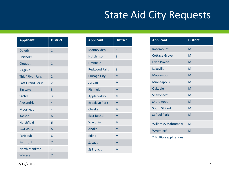## State Aid City Requests

| <b>Applicant</b>         | <b>District</b> |
|--------------------------|-----------------|
| <b>Duluth</b>            | $\overline{1}$  |
| Chisholm                 | 1               |
| Cloquet                  | $\overline{1}$  |
| Virginia                 | 1               |
| <b>Thief River Falls</b> | $\overline{2}$  |
| <b>East Grand Forks</b>  | $\overline{2}$  |
| <b>Big Lake</b>          | 3               |
| Sartell                  | 3               |
| Alexandria               | $\overline{A}$  |
| Moorhead                 | $\overline{4}$  |
| Kasson                   | 6               |
| <b>Northfield</b>        | 6               |
| <b>Red Wing</b>          | 6               |
| Faribault                | 6               |
| Fairmont                 | 7               |
| North Mankato            | 7               |
| Waseca                   | 7               |

| <b>Applicant</b>     | <b>District</b> |
|----------------------|-----------------|
| Montevideo           | 8               |
| <b>Hutchinson</b>    | 8               |
| <b>Litchfield</b>    | 8               |
| <b>Redwood Falls</b> | 8               |
| <b>Chisago City</b>  | M               |
| Jordan               | M               |
| Richfield            | M               |
| <b>Apple Valley</b>  | M               |
| <b>Brooklyn Park</b> | M               |
| Chaska               | M               |
| <b>East Bethel</b>   | M               |
| Waconia              | M               |
| Anoka                | M               |
| Edina                | M               |
| <b>Savage</b>        | M               |
| <b>St Francis</b>    | M               |

| <b>Applicant</b>     | <b>District</b> |
|----------------------|-----------------|
| Rosemount            | M               |
| <b>Cottage Grove</b> | M               |
| <b>Fden Prairie</b>  | M               |
| Lakeville            | M               |
| Maplewood            | M               |
| Minneapolis          | M               |
| Oakdale              | M               |
| Shakopee*            | M               |
| Shorewood            | M               |
| South St Paul        | M               |
| <b>St Paul Park</b>  | M               |
| Willernie/Mahtomedi  | M               |
| Wyoming*             | M               |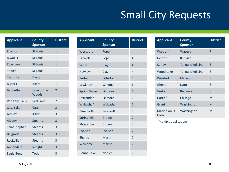# Small City Requests

| <b>Applicant</b>      | <b>County</b><br><b>Sponsor</b> | <b>District</b> |
|-----------------------|---------------------------------|-----------------|
| Proctor               | <b>St Louis</b>                 | 1               |
| <b>Biwabik</b>        | <b>St Louis</b>                 | $\mathbf{1}$    |
| <b>Rice Lake</b>      | <b>St Louis</b>                 | $\mathbf{1}$    |
| <b>Tower</b>          | <b>St Louis</b>                 | $\mathbf{1}$    |
| <b>Taconite</b>       | <b>Itasca</b>                   | $\mathbf{1}$    |
| <b>Bigfork</b>        | Itasca                          | $\mathbf{1}$    |
| <b>Baudette</b>       | Lake of the<br>Woods            | $\overline{2}$  |
| <b>Red Lake Falls</b> | <b>Red Lake</b>                 | $\overline{2}$  |
| Cass Lake*            | Cass                            | 3               |
| Aitkin*               | <b>Aitkin</b>                   | 3               |
| Albany                | <b>Stearns</b>                  | 3               |
| <b>Saint Stephan</b>  | <b>Stearns</b>                  | 3               |
| <b>Belgrade</b>       | <b>Stearns</b>                  | 3               |
| Rockville*            | <b>Stearns</b>                  | 3               |
| Annandale             | Wright                          | 3               |
| <b>Eagle Bend</b>     | <b>Todd</b>                     | 3               |

| <b>Applicant</b>     | <b>County</b><br><b>Sponsor</b> | <b>District</b> |
|----------------------|---------------------------------|-----------------|
| Westport             | Pope                            | 4               |
| Farwell              | Pope                            | $\overline{4}$  |
| Sabin                | Clay                            | 4               |
| <b>Hawley</b>        | Clay                            | 4               |
| Perham               | <b>Ottertail</b>                | $\overline{4}$  |
| Lewiston             | Winona                          | 6               |
| <b>Spring Valley</b> | <b>Fillmore</b>                 | 6               |
| Ostrander            | Fillmore                        | 6               |
| Wabasha*             | Wabasha                         | 6               |
| <b>Blue Earth</b>    | <b>Faribault</b>                | $\overline{7}$  |
| Springfield          | <b>Brown</b>                    | $\overline{7}$  |
| <b>Sleepy Eye</b>    | <b>Brown</b>                    | 7               |
| <b>Jackson</b>       | <b>Jackson</b>                  | 7               |
| Sherburn             | <b>Martin</b>                   | 7               |
| Welcome              | <b>Martin</b>                   | 7               |
| <b>Round Lake</b>    | <b>Nobles</b>                   | 7               |

| <b>Applicant</b>      | <b>County</b><br><b>Sponsor</b> | <b>District</b> |
|-----------------------|---------------------------------|-----------------|
| Waldorf               | Waseca                          | 7               |
| Hector                | Renville                        | 8               |
| Canby                 | <b>Yellow Medicine</b>          | 8               |
| <b>Wood Lake</b>      | <b>Yellow Medicine</b>          | 8               |
| Winsted               | McLeod                          | 8               |
| Ghent                 | Lyon                            | 8               |
| Vesta                 | Redwood                         | 8               |
| Harris*               | Chisago                         | M               |
| Grant                 | Washington                      | M               |
| Marine on St<br>Croix | Washington                      | M               |